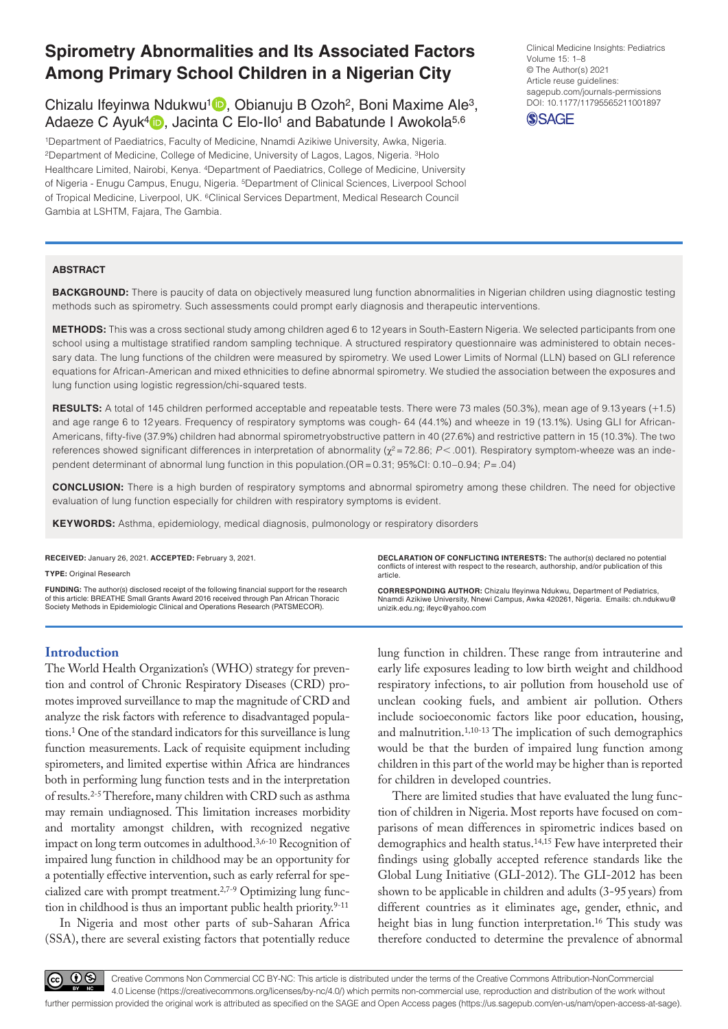# **Spirometry Abnormalities and Its Associated Factors Among Primary School Children in a Nigerian City**

Chizalu Ifeyinwa Ndukwu<sup>1</sup> , Obianuju B Ozoh<sup>2</sup>, Boni Maxime Ale<sup>3</sup>, Adaeze C Ayuk<sup>4</sup> **D**, Jacinta C Elo-Ilo<sup>1</sup> and Babatunde I Awokola<sup>5,6</sup>

1Department of Paediatrics, Faculty of Medicine, Nnamdi Azikiwe University, Awka, Nigeria. 2Department of Medicine, College of Medicine, University of Lagos, Lagos, Nigeria. 3Holo Healthcare Limited, Nairobi, Kenya. 4Department of Paediatrics, College of Medicine, University of Nigeria - Enugu Campus, Enugu, Nigeria. 5Department of Clinical Sciences, Liverpool School of Tropical Medicine, Liverpool, UK. 6Clinical Services Department, Medical Research Council Gambia at LSHTM, Fajara, The Gambia.

DOI: 10.1177/11795565211001897 Clinical Medicine Insights: Pediatrics Volume 15: 1–8 © The Author(s) 2021 Article reuse guidelines: [sagepub.com/journals-permissions](https://uk.sagepub.com/en-gb/journals-permissions)



#### **ABSTRACT**

**BACKGROUND:** There is paucity of data on objectively measured lung function abnormalities in Nigerian children using diagnostic testing methods such as spirometry. Such assessments could prompt early diagnosis and therapeutic interventions.

**Methods:** This was a cross sectional study among children aged 6 to 12 years in South-Eastern Nigeria. We selected participants from one school using a multistage stratified random sampling technique. A structured respiratory questionnaire was administered to obtain necessary data. The lung functions of the children were measured by spirometry. We used Lower Limits of Normal (LLN) based on GLI reference equations for African-American and mixed ethnicities to define abnormal spirometry. We studied the association between the exposures and lung function using logistic regression/chi-squared tests.

**RESULTS:** A total of 145 children performed acceptable and repeatable tests. There were 73 males (50.3%), mean age of 9.13 years (+1.5) and age range 6 to 12 years. Frequency of respiratory symptoms was cough- 64 (44.1%) and wheeze in 19 (13.1%). Using GLI for African-Americans, fifty-five (37.9%) children had abnormal spirometryobstructive pattern in 40 (27.6%) and restrictive pattern in 15 (10.3%). The two references showed significant differences in interpretation of abnormality ( $χ² = 72.86$ ;  $P < .001$ ). Respiratory symptom-wheeze was an independent determinant of abnormal lung function in this population.(OR=0.31; 95%CI: 0.10–0.94; *P*=.04)

**Conclusion:** There is a high burden of respiratory symptoms and abnormal spirometry among these children. The need for objective evaluation of lung function especially for children with respiratory symptoms is evident.

KEYWORDS: Asthma, epidemiology, medical diagnosis, pulmonology or respiratory disorders

**RECEIVED:** January 26, 2021. **ACCEPTED:** February 3, 2021.

**Type:** Original Research

**Funding:** The author(s) disclosed receipt of the following financial support for the research of this article: BREATHE Small Grants Award 2016 received through Pan African Thoracic Society Methods in Epidemiologic Clinical and Operations Research (PATSMECOR).

**Declaration of conflicting interests:** The author(s) declared no potential conflicts of interest with respect to the research, authorship, and/or publication of this article.

**CORRESPONDING AUTHOR:** Chizalu Ifeyinwa Ndukwu, Department of Pediatrics, Nnamdi Azikiwe University, Nnewi Campus, Awka 420261, Nigeria. Emails: [ch.ndukwu@](mailto:ch.ndukwu@unizik.edu.ng) [unizik.edu.ng;](mailto:ch.ndukwu@unizik.edu.ng) [ifeyc@yahoo.com](mailto:ifeyc@yahoo.com)

# **Introduction**

The World Health Organization's (WHO) strategy for prevention and control of Chronic Respiratory Diseases (CRD) promotes improved surveillance to map the magnitude of CRD and analyze the risk factors with reference to disadvantaged populations.1 One of the standard indicators for this surveillance is lung function measurements. Lack of requisite equipment including spirometers, and limited expertise within Africa are hindrances both in performing lung function tests and in the interpretation of results.2-5 Therefore, many children with CRD such as asthma may remain undiagnosed. This limitation increases morbidity and mortality amongst children, with recognized negative impact on long term outcomes in adulthood.3,6-10 Recognition of impaired lung function in childhood may be an opportunity for a potentially effective intervention, such as early referral for specialized care with prompt treatment.2,7-9 Optimizing lung function in childhood is thus an important public health priority.<sup>9-11</sup>

In Nigeria and most other parts of sub-Saharan Africa (SSA), there are several existing factors that potentially reduce lung function in children. These range from intrauterine and early life exposures leading to low birth weight and childhood respiratory infections, to air pollution from household use of unclean cooking fuels, and ambient air pollution. Others include socioeconomic factors like poor education, housing, and malnutrition.<sup>1,10-13</sup> The implication of such demographics would be that the burden of impaired lung function among children in this part of the world may be higher than is reported for children in developed countries.

There are limited studies that have evaluated the lung function of children in Nigeria. Most reports have focused on comparisons of mean differences in spirometric indices based on demographics and health status.14,15 Few have interpreted their findings using globally accepted reference standards like the Global Lung Initiative (GLI-2012). The GLI-2012 has been shown to be applicable in children and adults (3-95years) from different countries as it eliminates age, gender, ethnic, and height bias in lung function interpretation.16 This study was therefore conducted to determine the prevalence of abnormal



Creative Commons Non Commercial CC BY-NC: This article is distributed under the terms of the Creative Commons Attribution-NonCommercial 4.0 License (https://creativecommons.org/licenses/by-nc/4.0/) which permits non-commercial use, reproduction and distribution of the work without further permission provided the original work is attributed as specified on the SAGE and Open Access pages (https://us.sagepub.com/en-us/nam/open-access-at-sage).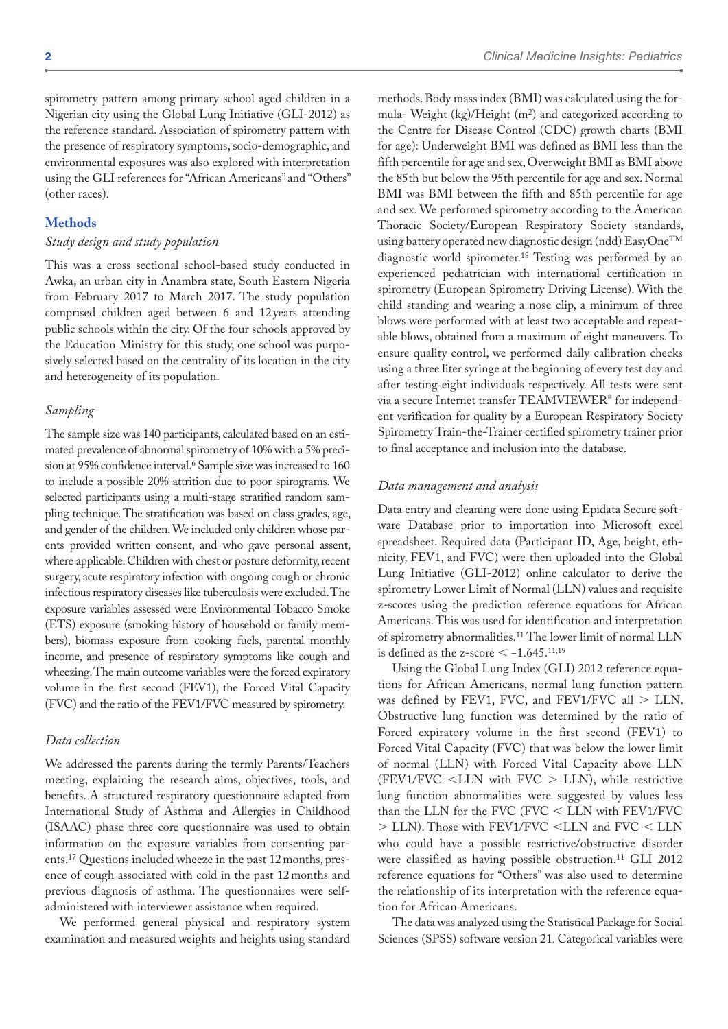spirometry pattern among primary school aged children in a Nigerian city using the Global Lung Initiative (GLI-2012) as the reference standard. Association of spirometry pattern with the presence of respiratory symptoms, socio-demographic, and environmental exposures was also explored with interpretation using the GLI references for "African Americans" and "Others" (other races).

# **Methods**

#### *Study design and study population*

This was a cross sectional school-based study conducted in Awka, an urban city in Anambra state, South Eastern Nigeria from February 2017 to March 2017. The study population comprised children aged between 6 and 12 years attending public schools within the city. Of the four schools approved by the Education Ministry for this study, one school was purposively selected based on the centrality of its location in the city and heterogeneity of its population.

#### *Sampling*

The sample size was 140 participants, calculated based on an estimated prevalence of abnormal spirometry of 10% with a 5% precision at 95% confidence interval.<sup>6</sup> Sample size was increased to 160 to include a possible 20% attrition due to poor spirograms. We selected participants using a multi-stage stratified random sampling technique. The stratification was based on class grades, age, and gender of the children. We included only children whose parents provided written consent, and who gave personal assent, where applicable. Children with chest or posture deformity, recent surgery, acute respiratory infection with ongoing cough or chronic infectious respiratory diseases like tuberculosis were excluded. The exposure variables assessed were Environmental Tobacco Smoke (ETS) exposure (smoking history of household or family members), biomass exposure from cooking fuels, parental monthly income, and presence of respiratory symptoms like cough and wheezing. The main outcome variables were the forced expiratory volume in the first second (FEV1), the Forced Vital Capacity (FVC) and the ratio of the FEV1/FVC measured by spirometry.

# *Data collection*

We addressed the parents during the termly Parents/Teachers meeting, explaining the research aims, objectives, tools, and benefits. A structured respiratory questionnaire adapted from International Study of Asthma and Allergies in Childhood (ISAAC) phase three core questionnaire was used to obtain information on the exposure variables from consenting parents.<sup>17</sup> Questions included wheeze in the past 12 months, presence of cough associated with cold in the past 12months and previous diagnosis of asthma. The questionnaires were selfadministered with interviewer assistance when required.

We performed general physical and respiratory system examination and measured weights and heights using standard

methods. Body mass index (BMI) was calculated using the formula- Weight (kg)/Height (m2) and categorized according to the Centre for Disease Control (CDC) growth charts (BMI for age): Underweight BMI was defined as BMI less than the fifth percentile for age and sex, Overweight BMI as BMI above the 85th but below the 95th percentile for age and sex. Normal BMI was BMI between the fifth and 85th percentile for age and sex. We performed spirometry according to the American Thoracic Society/European Respiratory Society standards, using battery operated new diagnostic design (ndd) EasyOne<sup>TM</sup> diagnostic world spirometer.18 Testing was performed by an experienced pediatrician with international certification in spirometry (European Spirometry Driving License). With the child standing and wearing a nose clip, a minimum of three blows were performed with at least two acceptable and repeatable blows, obtained from a maximum of eight maneuvers. To ensure quality control, we performed daily calibration checks using a three liter syringe at the beginning of every test day and after testing eight individuals respectively. All tests were sent via a secure Internet transfer TEAMVIEWER® for independent verification for quality by a European Respiratory Society Spirometry Train-the-Trainer certified spirometry trainer prior to final acceptance and inclusion into the database.

#### *Data management and analysis*

Data entry and cleaning were done using Epidata Secure software Database prior to importation into Microsoft excel spreadsheet. Required data (Participant ID, Age, height, ethnicity, FEV1, and FVC) were then uploaded into the Global Lung Initiative (GLI-2012) online calculator to derive the spirometry Lower Limit of Normal (LLN) values and requisite z-scores using the prediction reference equations for African Americans. This was used for identification and interpretation of spirometry abnormalities.11 The lower limit of normal LLN is defined as the z-score  $\leq$  -1.645.<sup>11,19</sup>

Using the Global Lung Index (GLI) 2012 reference equations for African Americans, normal lung function pattern was defined by FEV1, FVC, and FEV1/FVC all > LLN. Obstructive lung function was determined by the ratio of Forced expiratory volume in the first second (FEV1) to Forced Vital Capacity (FVC) that was below the lower limit of normal (LLN) with Forced Vital Capacity above LLN (FEV1/FVC <LLN with FVC > LLN), while restrictive lung function abnormalities were suggested by values less than the LLN for the FVC (FVC < LLN with FEV1/FVC > LLN). Those with FEV1/FVC <LLN and FVC < LLN who could have a possible restrictive/obstructive disorder were classified as having possible obstruction.11 GLI 2012 reference equations for "Others" was also used to determine the relationship of its interpretation with the reference equation for African Americans.

The data was analyzed using the Statistical Package for Social Sciences (SPSS) software version 21. Categorical variables were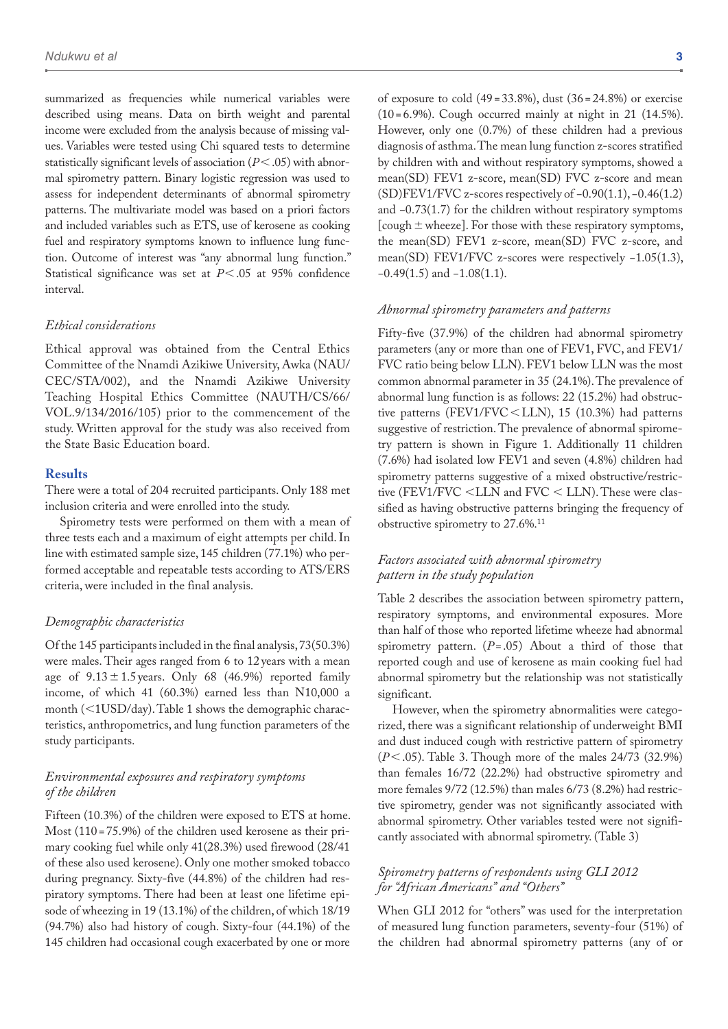summarized as frequencies while numerical variables were described using means. Data on birth weight and parental income were excluded from the analysis because of missing values. Variables were tested using Chi squared tests to determine statistically significant levels of association (*P*<.05) with abnormal spirometry pattern. Binary logistic regression was used to assess for independent determinants of abnormal spirometry patterns. The multivariate model was based on a priori factors and included variables such as ETS, use of kerosene as cooking fuel and respiratory symptoms known to influence lung function. Outcome of interest was "any abnormal lung function." Statistical significance was set at *P*<.05 at 95% confidence interval.

#### *Ethical considerations*

Ethical approval was obtained from the Central Ethics Committee of the Nnamdi Azikiwe University, Awka (NAU/ CEC/STA/002), and the Nnamdi Azikiwe University Teaching Hospital Ethics Committee (NAUTH/CS/66/ VOL.9/134/2016/105) prior to the commencement of the study. Written approval for the study was also received from the State Basic Education board.

## **Results**

There were a total of 204 recruited participants. Only 188 met inclusion criteria and were enrolled into the study.

Spirometry tests were performed on them with a mean of three tests each and a maximum of eight attempts per child. In line with estimated sample size, 145 children (77.1%) who performed acceptable and repeatable tests according to ATS/ERS criteria, were included in the final analysis.

#### *Demographic characteristics*

Of the 145 participants included in the final analysis, 73(50.3%) were males. Their ages ranged from 6 to 12 years with a mean age of  $9.13 \pm 1.5$  years. Only 68 (46.9%) reported family income, of which 41 (60.3%) earned less than N10,000 a month (<1USD/day). Table 1 shows the demographic characteristics, anthropometrics, and lung function parameters of the study participants.

# *Environmental exposures and respiratory symptoms of the children*

Fifteen (10.3%) of the children were exposed to ETS at home. Most (110 = 75.9%) of the children used kerosene as their primary cooking fuel while only 41(28.3%) used firewood (28/41 of these also used kerosene). Only one mother smoked tobacco during pregnancy. Sixty-five (44.8%) of the children had respiratory symptoms. There had been at least one lifetime episode of wheezing in 19 (13.1%) of the children, of which 18/19 (94.7%) also had history of cough. Sixty-four (44.1%) of the 145 children had occasional cough exacerbated by one or more

of exposure to cold  $(49 = 33.8\%)$ , dust  $(36 = 24.8\%)$  or exercise  $(10=6.9\%)$ . Cough occurred mainly at night in 21  $(14.5\%)$ . However, only one (0.7%) of these children had a previous diagnosis of asthma. The mean lung function z-scores stratified by children with and without respiratory symptoms, showed a mean(SD) FEV1 z-score, mean(SD) FVC z-score and mean (SD)FEV1/FVC z-scores respectively of −0.90(1.1), −0.46(1.2) and −0.73(1.7) for the children without respiratory symptoms [cough  $\pm$  wheeze]. For those with these respiratory symptoms, the mean(SD) FEV1 z-score, mean(SD) FVC z-score, and mean(SD) FEV1/FVC z-scores were respectively −1.05(1.3), −0.49(1.5) and −1.08(1.1).

### *Abnormal spirometry parameters and patterns*

Fifty-five (37.9%) of the children had abnormal spirometry parameters (any or more than one of FEV1, FVC, and FEV1/ FVC ratio being below LLN). FEV1 below LLN was the most common abnormal parameter in 35 (24.1%). The prevalence of abnormal lung function is as follows: 22 (15.2%) had obstructive patterns (FEV1/FVC<LLN), 15 (10.3%) had patterns suggestive of restriction. The prevalence of abnormal spirometry pattern is shown in Figure 1. Additionally 11 children (7.6%) had isolated low FEV1 and seven (4.8%) children had spirometry patterns suggestive of a mixed obstructive/restrictive (FEV1/FVC <LLN and FVC < LLN). These were classified as having obstructive patterns bringing the frequency of obstructive spirometry to 27.6%.11

# *Factors associated with abnormal spirometry pattern in the study population*

Table 2 describes the association between spirometry pattern, respiratory symptoms, and environmental exposures. More than half of those who reported lifetime wheeze had abnormal spirometry pattern. (*P*= .05) About a third of those that reported cough and use of kerosene as main cooking fuel had abnormal spirometry but the relationship was not statistically significant.

However, when the spirometry abnormalities were categorized, there was a significant relationship of underweight BMI and dust induced cough with restrictive pattern of spirometry (*P*<.05). Table 3. Though more of the males 24/73 (32.9%) than females 16/72 (22.2%) had obstructive spirometry and more females 9/72 (12.5%) than males 6/73 (8.2%) had restrictive spirometry, gender was not significantly associated with abnormal spirometry. Other variables tested were not significantly associated with abnormal spirometry. (Table 3)

# *Spirometry patterns of respondents using GLI 2012 for "African Americans" and "Others"*

When GLI 2012 for "others" was used for the interpretation of measured lung function parameters, seventy-four (51%) of the children had abnormal spirometry patterns (any of or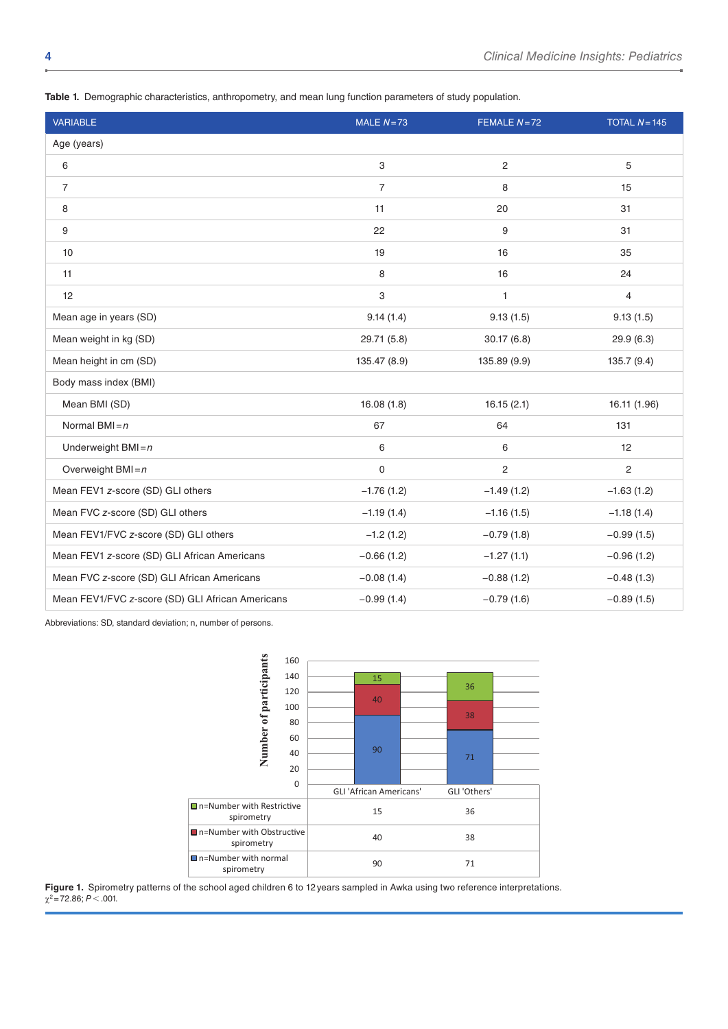**Table 1.** Demographic characteristics, anthropometry, and mean lung function parameters of study population.

| <b>VARIABLE</b>                                  | MALE $N=73$               | FEMALE $N=72$  | TOTAL $N = 145$         |
|--------------------------------------------------|---------------------------|----------------|-------------------------|
| Age (years)                                      |                           |                |                         |
| 6                                                | $\ensuremath{\mathsf{3}}$ | $\overline{2}$ | 5                       |
| $\overline{7}$                                   | $\overline{7}$            | 8              | 15                      |
| 8                                                | 11                        | 20             | 31                      |
| 9                                                | 22                        | 9              | 31                      |
| 10                                               | 19                        | 16             | 35                      |
| 11                                               | 8                         | 16             | 24                      |
| 12                                               | 3                         | $\mathbf{1}$   | $\overline{\mathbf{4}}$ |
| Mean age in years (SD)                           | 9.14(1.4)                 | 9.13(1.5)      | 9.13(1.5)               |
| Mean weight in kg (SD)                           | 29.71 (5.8)               | 30.17(6.8)     | 29.9 (6.3)              |
| Mean height in cm (SD)                           | 135.47 (8.9)              | 135.89 (9.9)   | 135.7 (9.4)             |
| Body mass index (BMI)                            |                           |                |                         |
| Mean BMI (SD)                                    | 16.08(1.8)                | 16.15(2.1)     | 16.11 (1.96)            |
| Normal BMI $=n$                                  | 67                        | 64             | 131                     |
| Underweight $BMI = n$                            | 6                         | 6              | 12                      |
| Overweight BMI= $n$                              | $\mathsf 0$               | $\overline{2}$ | $\overline{c}$          |
| Mean FEV1 z-score (SD) GLI others                | $-1.76(1.2)$              | $-1.49(1.2)$   | $-1.63(1.2)$            |
| Mean FVC z-score (SD) GLI others                 | $-1.19(1.4)$              | $-1.16(1.5)$   | $-1.18(1.4)$            |
| Mean FEV1/FVC z-score (SD) GLI others            | $-1.2(1.2)$               | $-0.79(1.8)$   | $-0.99(1.5)$            |
| Mean FEV1 z-score (SD) GLI African Americans     | $-0.66(1.2)$              | $-1.27(1.1)$   | $-0.96(1.2)$            |
| Mean FVC z-score (SD) GLI African Americans      | $-0.08(1.4)$              | $-0.88(1.2)$   | $-0.48(1.3)$            |
| Mean FEV1/FVC z-score (SD) GLI African Americans | $-0.99(1.4)$              | $-0.79(1.6)$   | $-0.89(1.5)$            |

Abbreviations: SD, standard deviation; n, number of persons.



**Figure 1.** Spirometry patterns of the school aged children 6 to 12years sampled in Awka using two reference interpretations.  $\chi^2$ =72.86; *P* < .001.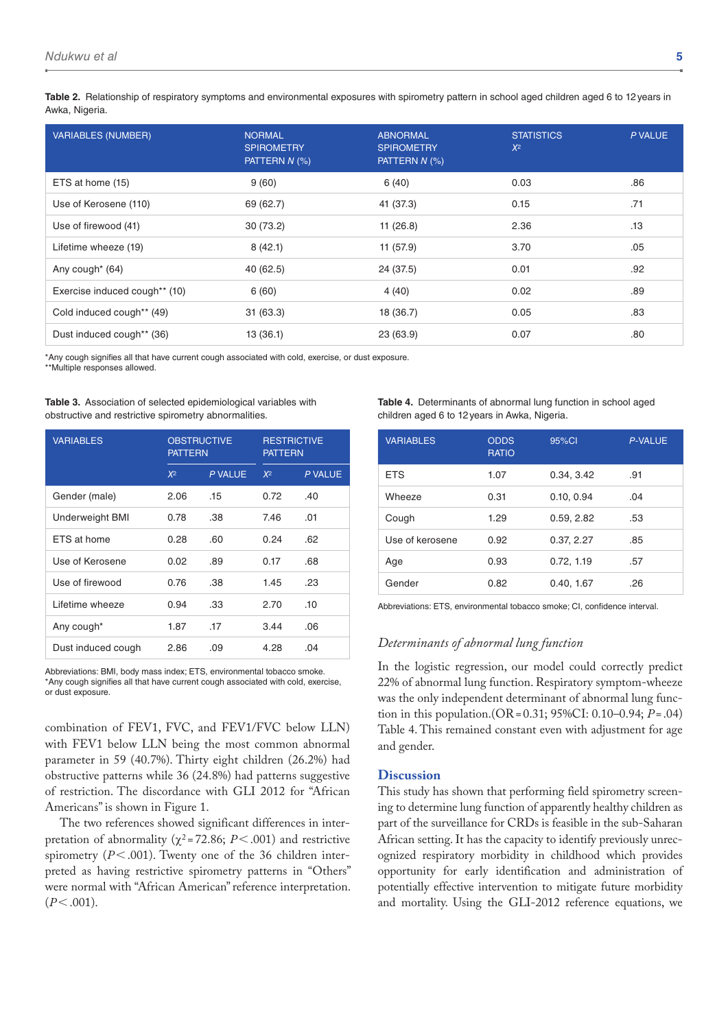**Table 2.** Relationship of respiratory symptoms and environmental exposures with spirometry pattern in school aged children aged 6 to 12years in Awka, Nigeria.

| <b>VARIABLES (NUMBER)</b>     | <b>NORMAL</b><br><b>SPIROMETRY</b><br>PATTERN N (%) | <b>ABNORMAL</b><br><b>SPIROMETRY</b><br>PATTERN N (%) | <b>STATISTICS</b><br>$X^2$ | P VALUE |
|-------------------------------|-----------------------------------------------------|-------------------------------------------------------|----------------------------|---------|
| ETS at home (15)              | 9(60)                                               | 6(40)                                                 | 0.03                       | .86     |
| Use of Kerosene (110)         | 69 (62.7)                                           | 41 (37.3)                                             | 0.15                       | .71     |
| Use of firewood (41)          | 30(73.2)                                            | 11(26.8)                                              | 2.36                       | .13     |
| Lifetime wheeze (19)          | 8(42.1)                                             | 11(57.9)                                              | 3.70                       | .05     |
| Any cough <sup>*</sup> (64)   | 40 (62.5)                                           | 24 (37.5)                                             | 0.01                       | .92     |
| Exercise induced cough** (10) | 6(60)                                               | 4(40)                                                 | 0.02                       | .89     |
| Cold induced cough** (49)     | 31(63.3)                                            | 18 (36.7)                                             | 0.05                       | .83     |
| Dust induced cough** (36)     | 13(36.1)                                            | 23 (63.9)                                             | 0.07                       | .80     |

\*Any cough signifies all that have current cough associated with cold, exercise, or dust exposure.

\*\*Multiple responses allowed.

**Table 3.** Association of selected epidemiological variables with obstructive and restrictive spirometry abnormalities.

| <b>VARIABLES</b>       | <b>OBSTRUCTIVE</b><br><b>PATTERN</b> |         | <b>RESTRICTIVE</b><br><b>PATTERN</b> |         |
|------------------------|--------------------------------------|---------|--------------------------------------|---------|
|                        | $X^2$                                | P VALUE | $X^2$                                | P VALUE |
| Gender (male)          | 2.06                                 | .15     | 0.72                                 | .40     |
| <b>Underweight BMI</b> | 0.78                                 | .38     | 7.46                                 | .01     |
| ETS at home            | 0.28                                 | .60     | 0.24                                 | .62     |
| Use of Kerosene        | 0.02                                 | .89     | 0.17                                 | .68     |
| Use of firewood        | 0.76                                 | .38     | 1.45                                 | .23     |
| Lifetime wheeze        | 0.94                                 | .33     | 2.70                                 | .10     |
| Any cough*             | 1.87                                 | .17     | 3.44                                 | .06     |
| Dust induced cough     | 2.86                                 | .09     | 4.28                                 | .04     |

Abbreviations: BMI, body mass index; ETS, environmental tobacco smoke. \*Any cough signifies all that have current cough associated with cold, exercise, or dust exposure.

combination of FEV1, FVC, and FEV1/FVC below LLN) with FEV1 below LLN being the most common abnormal parameter in 59 (40.7%). Thirty eight children (26.2%) had obstructive patterns while 36 (24.8%) had patterns suggestive of restriction. The discordance with GLI 2012 for "African Americans" is shown in Figure 1.

The two references showed significant differences in interpretation of abnormality ( $\chi^2$ =72.86; *P*<.001) and restrictive spirometry (*P*<.001). Twenty one of the 36 children interpreted as having restrictive spirometry patterns in "Others" were normal with "African American" reference interpretation.  $(P<.001)$ .

**Table 4.** Determinants of abnormal lung function in school aged children aged 6 to 12years in Awka, Nigeria.

| <b>VARIABLES</b> | <b>ODDS</b><br><b>RATIO</b> | 95%CI      | <b>P-VALUE</b> |
|------------------|-----------------------------|------------|----------------|
| <b>ETS</b>       | 1.07                        | 0.34, 3.42 | .91            |
| Wheeze           | 0.31                        | 0.10, 0.94 | .04            |
| Cough            | 1.29                        | 0.59, 2.82 | .53            |
| Use of kerosene  | 0.92                        | 0.37, 2.27 | .85            |
| Age              | 0.93                        | 0.72, 1.19 | .57            |
| Gender           | 0.82                        | 0.40, 1.67 | .26            |

Abbreviations: ETS, environmental tobacco smoke; CI, confidence interval.

# *Determinants of abnormal lung function*

In the logistic regression, our model could correctly predict 22% of abnormal lung function. Respiratory symptom-wheeze was the only independent determinant of abnormal lung function in this population.(OR=0.31; 95%CI: 0.10–0.94; *P*=.04) Table 4. This remained constant even with adjustment for age and gender.

#### **Discussion**

This study has shown that performing field spirometry screening to determine lung function of apparently healthy children as part of the surveillance for CRDs is feasible in the sub-Saharan African setting. It has the capacity to identify previously unrecognized respiratory morbidity in childhood which provides opportunity for early identification and administration of potentially effective intervention to mitigate future morbidity and mortality. Using the GLI-2012 reference equations, we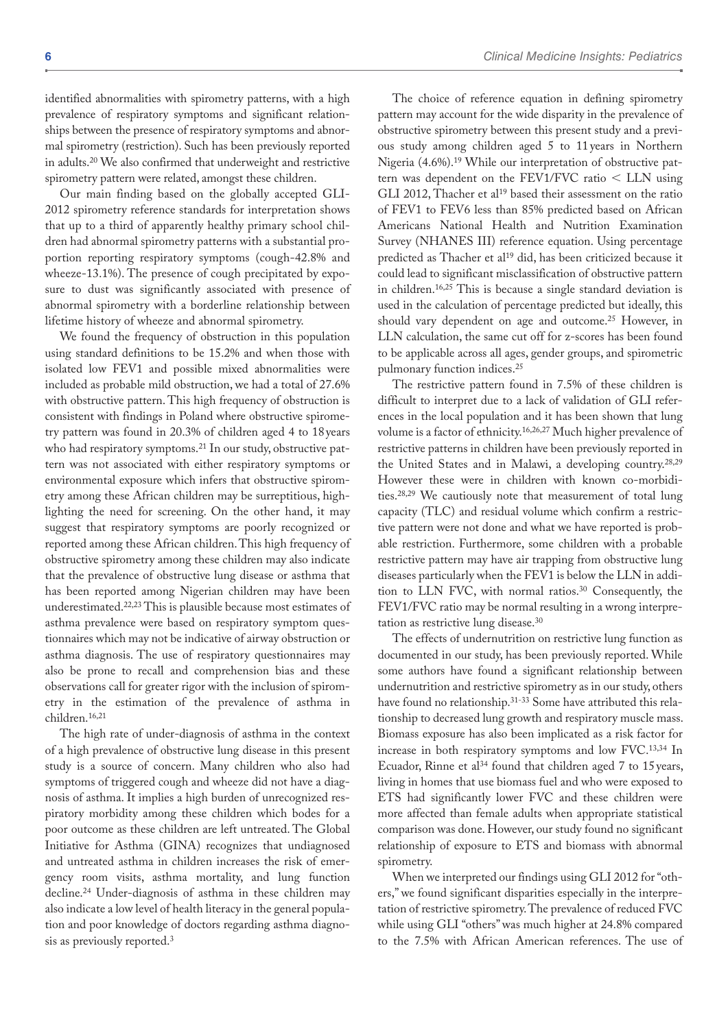identified abnormalities with spirometry patterns, with a high prevalence of respiratory symptoms and significant relationships between the presence of respiratory symptoms and abnormal spirometry (restriction). Such has been previously reported in adults.20 We also confirmed that underweight and restrictive spirometry pattern were related, amongst these children.

Our main finding based on the globally accepted GLI-2012 spirometry reference standards for interpretation shows that up to a third of apparently healthy primary school children had abnormal spirometry patterns with a substantial proportion reporting respiratory symptoms (cough-42.8% and wheeze-13.1%). The presence of cough precipitated by exposure to dust was significantly associated with presence of abnormal spirometry with a borderline relationship between lifetime history of wheeze and abnormal spirometry.

We found the frequency of obstruction in this population using standard definitions to be 15.2% and when those with isolated low FEV1 and possible mixed abnormalities were included as probable mild obstruction, we had a total of 27.6% with obstructive pattern. This high frequency of obstruction is consistent with findings in Poland where obstructive spirometry pattern was found in 20.3% of children aged 4 to 18years who had respiratory symptoms.<sup>21</sup> In our study, obstructive pattern was not associated with either respiratory symptoms or environmental exposure which infers that obstructive spirometry among these African children may be surreptitious, highlighting the need for screening. On the other hand, it may suggest that respiratory symptoms are poorly recognized or reported among these African children. This high frequency of obstructive spirometry among these children may also indicate that the prevalence of obstructive lung disease or asthma that has been reported among Nigerian children may have been underestimated.22,23 This is plausible because most estimates of asthma prevalence were based on respiratory symptom questionnaires which may not be indicative of airway obstruction or asthma diagnosis. The use of respiratory questionnaires may also be prone to recall and comprehension bias and these observations call for greater rigor with the inclusion of spirometry in the estimation of the prevalence of asthma in children.16,21

The high rate of under-diagnosis of asthma in the context of a high prevalence of obstructive lung disease in this present study is a source of concern. Many children who also had symptoms of triggered cough and wheeze did not have a diagnosis of asthma. It implies a high burden of unrecognized respiratory morbidity among these children which bodes for a poor outcome as these children are left untreated. The Global Initiative for Asthma (GINA) recognizes that undiagnosed and untreated asthma in children increases the risk of emergency room visits, asthma mortality, and lung function decline.24 Under-diagnosis of asthma in these children may also indicate a low level of health literacy in the general population and poor knowledge of doctors regarding asthma diagnosis as previously reported.3

The choice of reference equation in defining spirometry pattern may account for the wide disparity in the prevalence of obstructive spirometry between this present study and a previous study among children aged 5 to 11 years in Northern Nigeria (4.6%).19 While our interpretation of obstructive pattern was dependent on the FEV1/FVC ratio < LLN using GLI 2012, Thacher et al<sup>19</sup> based their assessment on the ratio of FEV1 to FEV6 less than 85% predicted based on African Americans National Health and Nutrition Examination Survey (NHANES III) reference equation. Using percentage predicted as Thacher et al<sup>19</sup> did, has been criticized because it could lead to significant misclassification of obstructive pattern in children.16,25 This is because a single standard deviation is used in the calculation of percentage predicted but ideally, this should vary dependent on age and outcome.25 However, in LLN calculation, the same cut off for z-scores has been found to be applicable across all ages, gender groups, and spirometric pulmonary function indices.25

The restrictive pattern found in 7.5% of these children is difficult to interpret due to a lack of validation of GLI references in the local population and it has been shown that lung volume is a factor of ethnicity.16,26,27 Much higher prevalence of restrictive patterns in children have been previously reported in the United States and in Malawi, a developing country.28,29 However these were in children with known co-morbidities.28,29 We cautiously note that measurement of total lung capacity (TLC) and residual volume which confirm a restrictive pattern were not done and what we have reported is probable restriction. Furthermore, some children with a probable restrictive pattern may have air trapping from obstructive lung diseases particularly when the FEV1 is below the LLN in addition to LLN FVC, with normal ratios.30 Consequently, the FEV1/FVC ratio may be normal resulting in a wrong interpretation as restrictive lung disease.30

The effects of undernutrition on restrictive lung function as documented in our study, has been previously reported. While some authors have found a significant relationship between undernutrition and restrictive spirometry as in our study, others have found no relationship.31-33 Some have attributed this relationship to decreased lung growth and respiratory muscle mass. Biomass exposure has also been implicated as a risk factor for increase in both respiratory symptoms and low FVC.13,34 In Ecuador, Rinne et al<sup>34</sup> found that children aged 7 to 15 years, living in homes that use biomass fuel and who were exposed to ETS had significantly lower FVC and these children were more affected than female adults when appropriate statistical comparison was done. However, our study found no significant relationship of exposure to ETS and biomass with abnormal spirometry.

When we interpreted our findings using GLI 2012 for "others," we found significant disparities especially in the interpretation of restrictive spirometry. The prevalence of reduced FVC while using GLI "others" was much higher at 24.8% compared to the 7.5% with African American references. The use of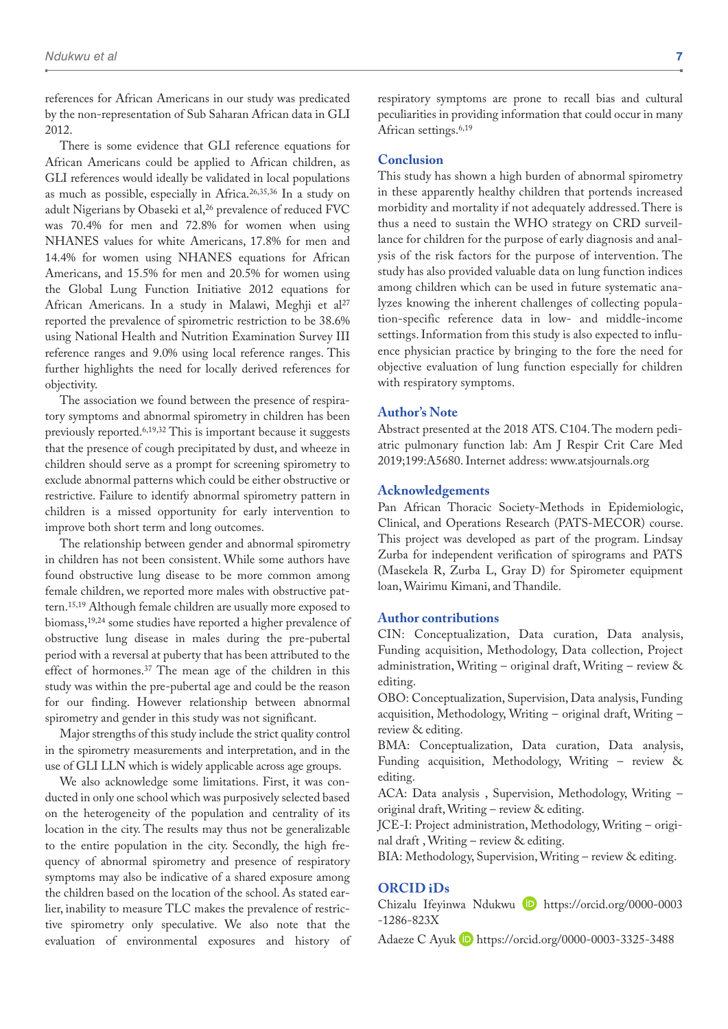references for African Americans in our study was predicated by the non-representation of Sub Saharan African data in GLI 2012.

There is some evidence that GLI reference equations for African Americans could be applied to African children, as GLI references would ideally be validated in local populations as much as possible, especially in Africa.26,35,36 In a study on adult Nigerians by Obaseki et al,<sup>26</sup> prevalence of reduced FVC was 70.4% for men and 72.8% for women when using NHANES values for white Americans, 17.8% for men and 14.4% for women using NHANES equations for African Americans, and 15.5% for men and 20.5% for women using the Global Lung Function Initiative 2012 equations for African Americans. In a study in Malawi, Meghji et al<sup>27</sup> reported the prevalence of spirometric restriction to be 38.6% using National Health and Nutrition Examination Survey III reference ranges and 9.0% using local reference ranges. This further highlights the need for locally derived references for objectivity.

The association we found between the presence of respiratory symptoms and abnormal spirometry in children has been previously reported.6,19,32 This is important because it suggests that the presence of cough precipitated by dust, and wheeze in children should serve as a prompt for screening spirometry to exclude abnormal patterns which could be either obstructive or restrictive. Failure to identify abnormal spirometry pattern in children is a missed opportunity for early intervention to improve both short term and long outcomes.

The relationship between gender and abnormal spirometry in children has not been consistent. While some authors have found obstructive lung disease to be more common among female children, we reported more males with obstructive pattern.15,19 Although female children are usually more exposed to biomass,19,24 some studies have reported a higher prevalence of obstructive lung disease in males during the pre-pubertal period with a reversal at puberty that has been attributed to the effect of hormones.37 The mean age of the children in this study was within the pre-pubertal age and could be the reason for our finding. However relationship between abnormal spirometry and gender in this study was not significant.

Major strengths of this study include the strict quality control in the spirometry measurements and interpretation, and in the use of GLI LLN which is widely applicable across age groups.

We also acknowledge some limitations. First, it was conducted in only one school which was purposively selected based on the heterogeneity of the population and centrality of its location in the city. The results may thus not be generalizable to the entire population in the city. Secondly, the high frequency of abnormal spirometry and presence of respiratory symptoms may also be indicative of a shared exposure among the children based on the location of the school. As stated earlier, inability to measure TLC makes the prevalence of restrictive spirometry only speculative. We also note that the evaluation of environmental exposures and history of

respiratory symptoms are prone to recall bias and cultural peculiarities in providing information that could occur in many African settings.<sup>6,19</sup>

#### **Conclusion**

This study has shown a high burden of abnormal spirometry in these apparently healthy children that portends increased morbidity and mortality if not adequately addressed. There is thus a need to sustain the WHO strategy on CRD surveillance for children for the purpose of early diagnosis and analysis of the risk factors for the purpose of intervention. The study has also provided valuable data on lung function indices among children which can be used in future systematic analyzes knowing the inherent challenges of collecting population-specific reference data in low- and middle-income settings. Information from this study is also expected to influence physician practice by bringing to the fore the need for objective evaluation of lung function especially for children with respiratory symptoms.

#### **Author's Note**

Abstract presented at the 2018 ATS. C104. The modern pediatric pulmonary function lab: Am J Respir Crit Care Med 2019;199:A5680. Internet address:<www.atsjournals.org>

#### **Acknowledgements**

Pan African Thoracic Society-Methods in Epidemiologic, Clinical, and Operations Research (PATS-MECOR) course. This project was developed as part of the program. Lindsay Zurba for independent verification of spirograms and PATS (Masekela R, Zurba L, Gray D) for Spirometer equipment loan, Wairimu Kimani, and Thandile.

# **Author contributions**

CIN: Conceptualization, Data curation, Data analysis, Funding acquisition, Methodology, Data collection, Project administration, Writing – original draft, Writing – review & editing.

OBO: Conceptualization, Supervision, Data analysis, Funding acquisition, Methodology, Writing – original draft, Writing – review & editing.

BMA: Conceptualization, Data curation, Data analysis, Funding acquisition, Methodology, Writing – review & editing.

ACA: Data analysis , Supervision, Methodology, Writing – original draft, Writing – review & editing.

JCE-I: Project administration, Methodology, Writing – original draft , Writing – review & editing.

BIA: Methodology, Supervision, Writing – review & editing.

### **ORCID iDs**

Chizalu Ifeyinwa Ndukwu **D** [https://orcid.org/0000-0003](https://orcid.org/0000-0003-1286-823X) [-1286-823X](https://orcid.org/0000-0003-1286-823X)

Adaeze C Ayuk D <https://orcid.org/0000-0003-3325-3488>